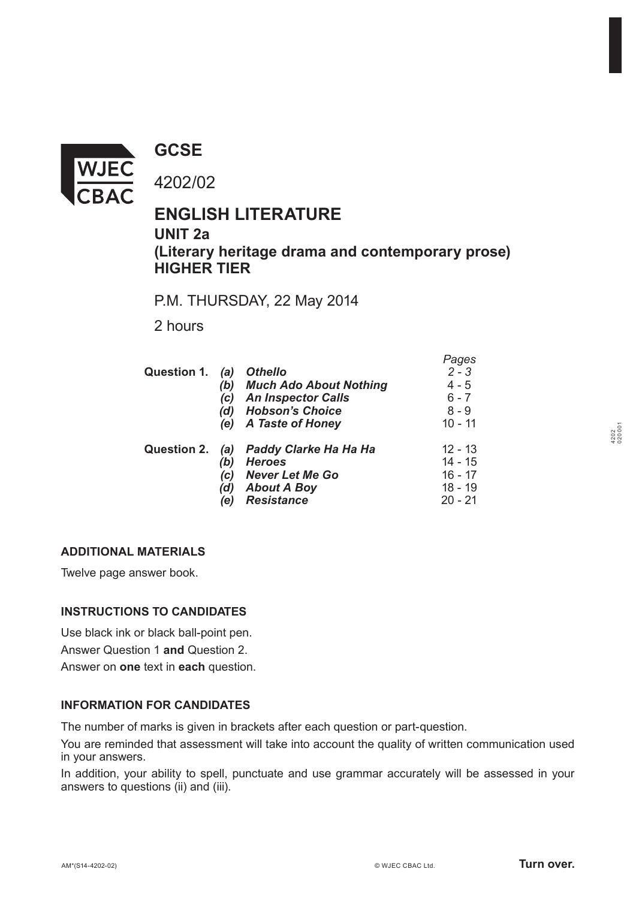

**GCSE**

4202/02

# **ENGLISH LITERATURE UNIT 2a (Literary heritage drama and contemporary prose) HIGHER TIER**

P.M. THURSDAY, 22 May 2014

2 hours

|     |                               | Pages     |
|-----|-------------------------------|-----------|
| (a) | <b>Othello</b>                | $2 - 3$   |
| (b) | <b>Much Ado About Nothing</b> | $4 - 5$   |
| (c) | <b>An Inspector Calls</b>     | 6 - 7     |
| (d) | <b>Hobson's Choice</b>        | $8 - 9$   |
| (e) | <b>A Taste of Honey</b>       | $10 - 11$ |
| (a) | Paddy Clarke Ha Ha Ha         | 12 - 13   |
| (b) | <b>Heroes</b>                 | 14 - 15   |
| (c) | <b>Never Let Me Go</b>        | 16 - 17   |
| (d) | <b>About A Boy</b>            | 18 - 19   |
| (e) | <b>Resistance</b>             | $20 - 21$ |
|     |                               |           |

# **ADDITIONAL MATERIALS**

Twelve page answer book.

# **INSTRUCTIONS TO CANDIDATES**

Use black ink or black ball-point pen. Answer Question 1 **and** Question 2. Answer on **one** text in **each** question.

# **INFORMATION FOR CANDIDATES**

The number of marks is given in brackets after each question or part-question.

You are reminded that assessment will take into account the quality of written communication used in your answers.

In addition, your ability to spell, punctuate and use grammar accurately will be assessed in your answers to questions (ii) and (iii).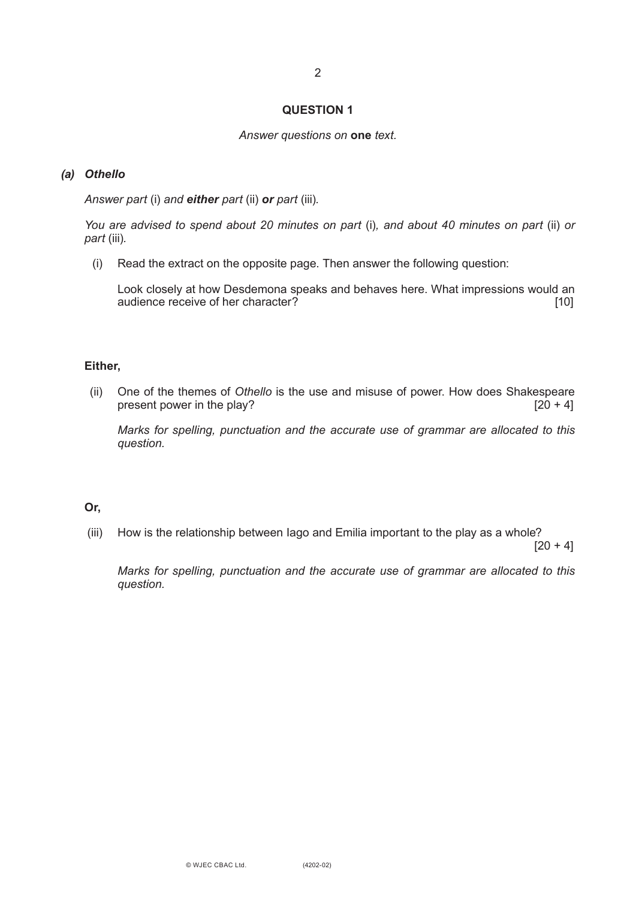#### **QUESTION 1**

#### *Answer questions on* **one** *text.*

#### *(a) Othello*

*Answer part* (i) *and either part* (ii) *or part* (iii)*.*

*You are advised to spend about 20 minutes on part* (i)*, and about 40 minutes on part* (ii) *or part* (iii)*.*

(i) Read the extract on the opposite page. Then answer the following question:

 Look closely at how Desdemona speaks and behaves here. What impressions would an audience receive of her character? [10]

#### **Either,**

(ii) One of the themes of *Othello* is the use and misuse of power. How does Shakespeare present power in the play? present power in the play?

 *Marks for spelling, punctuation and the accurate use of grammar are allocated to this question.*

#### **Or,**

(iii) How is the relationship between Iago and Emilia important to the play as a whole?

 $[20 + 4]$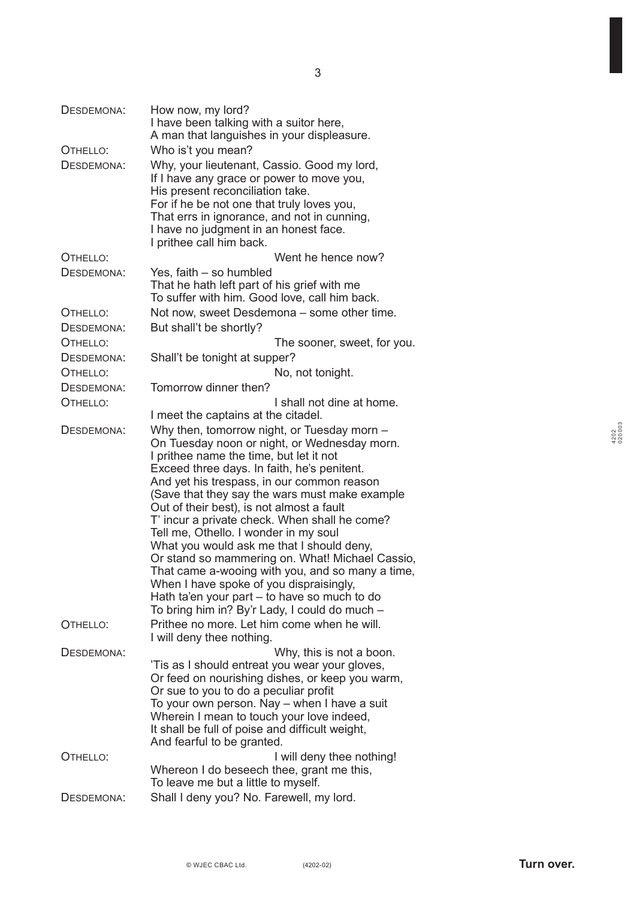|                        | 3                                                                                                                                                                                                                                                                                                                                                                                                                                  |
|------------------------|------------------------------------------------------------------------------------------------------------------------------------------------------------------------------------------------------------------------------------------------------------------------------------------------------------------------------------------------------------------------------------------------------------------------------------|
| DESDEMONA:             | How now, my lord?                                                                                                                                                                                                                                                                                                                                                                                                                  |
|                        | I have been talking with a suitor here,<br>A man that languishes in your displeasure.                                                                                                                                                                                                                                                                                                                                              |
| OTHELLO:               | Who is't you mean?                                                                                                                                                                                                                                                                                                                                                                                                                 |
| DESDEMONA:             | Why, your lieutenant, Cassio. Good my lord,<br>If I have any grace or power to move you,<br>His present reconciliation take.<br>For if he be not one that truly loves you,<br>That errs in ignorance, and not in cunning,                                                                                                                                                                                                          |
|                        | I have no judgment in an honest face.<br>I prithee call him back.                                                                                                                                                                                                                                                                                                                                                                  |
| OTHELLO:               | Went he hence now?                                                                                                                                                                                                                                                                                                                                                                                                                 |
| DESDEMONA:             | Yes, faith – so humbled<br>That he hath left part of his grief with me<br>To suffer with him. Good love, call him back.                                                                                                                                                                                                                                                                                                            |
| OTHELLO:<br>DESDEMONA: | Not now, sweet Desdemona – some other time.<br>But shall't be shortly?                                                                                                                                                                                                                                                                                                                                                             |
| OTHELLO:               | The sooner, sweet, for you.                                                                                                                                                                                                                                                                                                                                                                                                        |
| DESDEMONA:             | Shall't be tonight at supper?                                                                                                                                                                                                                                                                                                                                                                                                      |
| OTHELLO:               | No, not tonight.                                                                                                                                                                                                                                                                                                                                                                                                                   |
| DESDEMONA:             | Tomorrow dinner then?                                                                                                                                                                                                                                                                                                                                                                                                              |
| OTHELLO:               | I shall not dine at home.                                                                                                                                                                                                                                                                                                                                                                                                          |
|                        | I meet the captains at the citadel.                                                                                                                                                                                                                                                                                                                                                                                                |
| DESDEMONA:             | Why then, tomorrow night, or Tuesday morn -<br>On Tuesday noon or night, or Wednesday morn.<br>I prithee name the time, but let it not<br>Exceed three days. In faith, he's penitent.                                                                                                                                                                                                                                              |
|                        | And yet his trespass, in our common reason<br>(Save that they say the wars must make example<br>Out of their best), is not almost a fault<br>T' incur a private check. When shall he come?<br>Tell me, Othello. I wonder in my soul<br>What you would ask me that I should deny,<br>Or stand so mammering on. What! Michael Cassio,<br>That came a-wooing with you, and so many a time,<br>When I have spoke of you dispraisingly, |
|                        | Hath ta'en your part - to have so much to do<br>To bring him in? By'r Lady, I could do much -                                                                                                                                                                                                                                                                                                                                      |
| OTHELLO:               | Prithee no more. Let him come when he will.<br>I will deny thee nothing.                                                                                                                                                                                                                                                                                                                                                           |
| DESDEMONA:             | Why, this is not a boon.                                                                                                                                                                                                                                                                                                                                                                                                           |
|                        | Tis as I should entreat you wear your gloves,<br>Or feed on nourishing dishes, or keep you warm,<br>Or sue to you to do a peculiar profit<br>To your own person. Nay - when I have a suit<br>Wherein I mean to touch your love indeed,<br>It shall be full of poise and difficult weight,<br>And fearful to be granted.                                                                                                            |
| OTHELLO:               | I will deny thee nothing!                                                                                                                                                                                                                                                                                                                                                                                                          |
|                        | Whereon I do beseech thee, grant me this,<br>To leave me but a little to myself.                                                                                                                                                                                                                                                                                                                                                   |
| DESDEMONA:             | Shall I deny you? No. Farewell, my lord.                                                                                                                                                                                                                                                                                                                                                                                           |
|                        |                                                                                                                                                                                                                                                                                                                                                                                                                                    |
|                        | © WJEC CBAC Ltd.<br>$(4202 - 02)$                                                                                                                                                                                                                                                                                                                                                                                                  |

 $(4202 - 02)$ 

**Turn over.**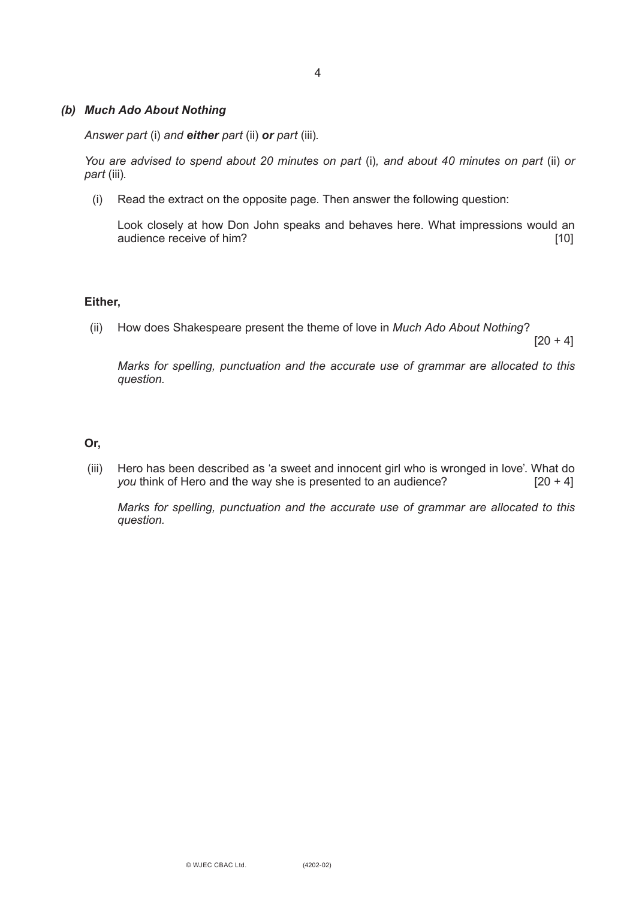#### *(b) Much Ado About Nothing*

*Answer part* (i) *and either part* (ii) *or part* (iii)*.*

*You are advised to spend about 20 minutes on part* (i)*, and about 40 minutes on part* (ii) *or part* (iii)*.*

(i) Read the extract on the opposite page. Then answer the following question:

Look closely at how Don John speaks and behaves here. What impressions would an audience receive of him? audience receive of him?

#### **Either,**

(ii) How does Shakespeare present the theme of love in *Much Ado About Nothing*?

 $[20 + 4]$ 

 *Marks for spelling, punctuation and the accurate use of grammar are allocated to this question.*

# **Or,**

(iii) Hero has been described as 'a sweet and innocent girl who is wronged in love'. What do *you* think of Hero and the way she is presented to an audience? [20 + 4]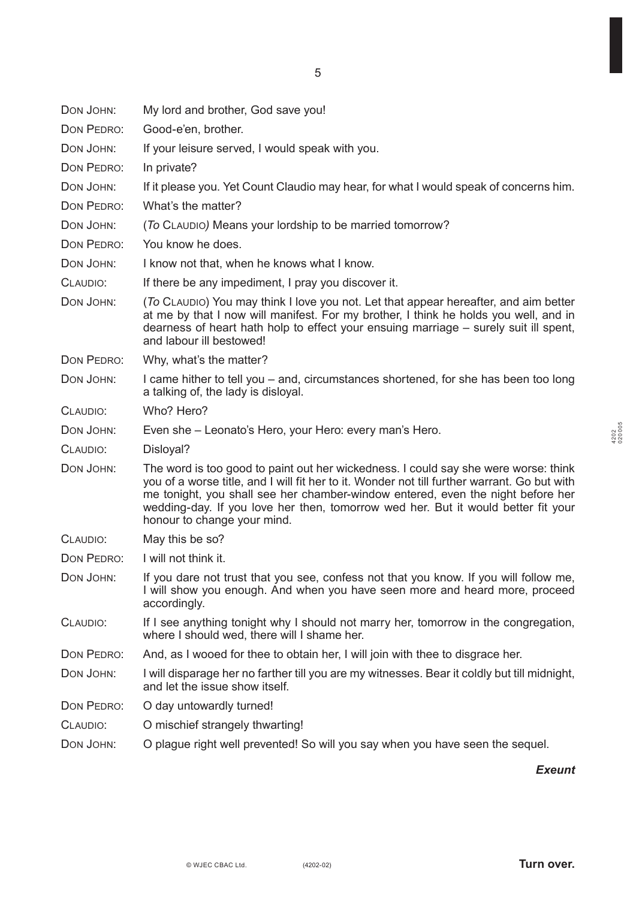| DON JOHN:  | My lord and brother, God save you!                                                                                                                                                                                                                                                                                                                                                         |
|------------|--------------------------------------------------------------------------------------------------------------------------------------------------------------------------------------------------------------------------------------------------------------------------------------------------------------------------------------------------------------------------------------------|
| DON PEDRO: | Good-e'en, brother.                                                                                                                                                                                                                                                                                                                                                                        |
| DON JOHN:  | If your leisure served, I would speak with you.                                                                                                                                                                                                                                                                                                                                            |
| DON PEDRO: | In private?                                                                                                                                                                                                                                                                                                                                                                                |
| DON JOHN:  | If it please you. Yet Count Claudio may hear, for what I would speak of concerns him.                                                                                                                                                                                                                                                                                                      |
| DON PEDRO: | What's the matter?                                                                                                                                                                                                                                                                                                                                                                         |
| DON JOHN:  | (To CLAUDIO) Means your lordship to be married tomorrow?                                                                                                                                                                                                                                                                                                                                   |
| DON PEDRO: | You know he does.                                                                                                                                                                                                                                                                                                                                                                          |
| DON JOHN:  | I know not that, when he knows what I know.                                                                                                                                                                                                                                                                                                                                                |
| CLAUDIO:   | If there be any impediment, I pray you discover it.                                                                                                                                                                                                                                                                                                                                        |
| DON JOHN:  | (To CLAUDIO) You may think I love you not. Let that appear hereafter, and aim better<br>at me by that I now will manifest. For my brother, I think he holds you well, and in<br>dearness of heart hath holp to effect your ensuing marriage - surely suit ill spent,<br>and labour ill bestowed!                                                                                           |
| DON PEDRO: | Why, what's the matter?                                                                                                                                                                                                                                                                                                                                                                    |
| DON JOHN:  | I came hither to tell you – and, circumstances shortened, for she has been too long<br>a talking of, the lady is disloyal.                                                                                                                                                                                                                                                                 |
| CLAUDIO:   | Who? Hero?                                                                                                                                                                                                                                                                                                                                                                                 |
| DON JOHN:  | Even she - Leonato's Hero, your Hero: every man's Hero.                                                                                                                                                                                                                                                                                                                                    |
| CLAUDIO:   | Disloyal?                                                                                                                                                                                                                                                                                                                                                                                  |
| DON JOHN:  | The word is too good to paint out her wickedness. I could say she were worse: think<br>you of a worse title, and I will fit her to it. Wonder not till further warrant. Go but with<br>me tonight, you shall see her chamber-window entered, even the night before her<br>wedding-day. If you love her then, tomorrow wed her. But it would better fit your<br>honour to change your mind. |
| CLAUDIO:   | May this be so?                                                                                                                                                                                                                                                                                                                                                                            |
| DON PEDRO: | I will not think it.                                                                                                                                                                                                                                                                                                                                                                       |
| DON JOHN:  | If you dare not trust that you see, confess not that you know. If you will follow me,<br>I will show you enough. And when you have seen more and heard more, proceed<br>accordingly.                                                                                                                                                                                                       |
| CLAUDIO:   | If I see anything tonight why I should not marry her, tomorrow in the congregation,<br>where I should wed, there will I shame her.                                                                                                                                                                                                                                                         |
| DON PEDRO: | And, as I wooed for thee to obtain her, I will join with thee to disgrace her.                                                                                                                                                                                                                                                                                                             |
| DON JOHN:  | I will disparage her no farther till you are my witnesses. Bear it coldly but till midnight,<br>and let the issue show itself.                                                                                                                                                                                                                                                             |
| DON PEDRO: | O day untowardly turned!                                                                                                                                                                                                                                                                                                                                                                   |
| CLAUDIO:   | O mischief strangely thwarting!                                                                                                                                                                                                                                                                                                                                                            |
| DON JOHN:  | O plague right well prevented! So will you say when you have seen the sequel.                                                                                                                                                                                                                                                                                                              |

*Exeunt*

4202 020005

**Turn over.**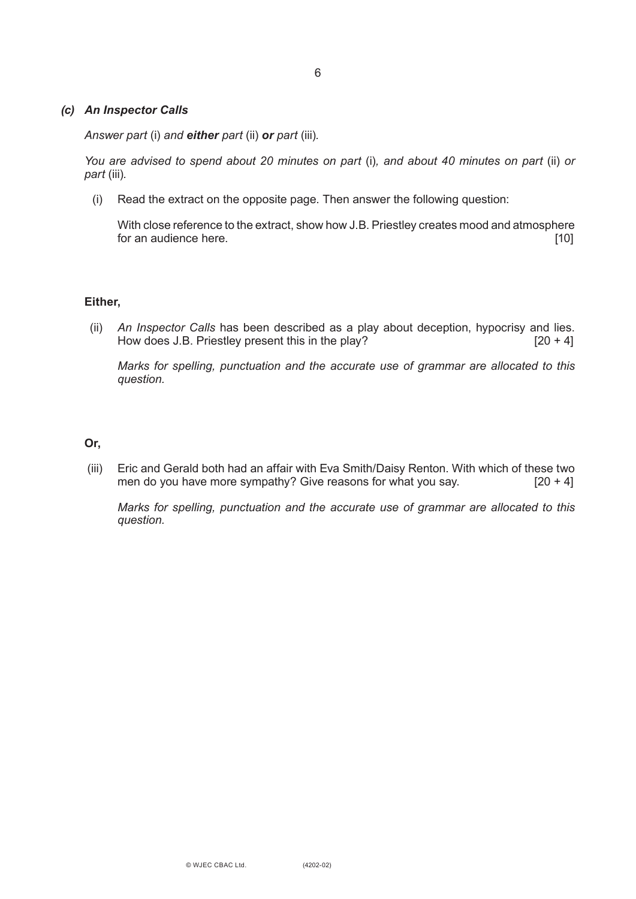#### *(c) An Inspector Calls*

*Answer part* (i) *and either part* (ii) *or part* (iii)*.*

*You are advised to spend about 20 minutes on part* (i)*, and about 40 minutes on part* (ii) *or part* (iii)*.*

(i) Read the extract on the opposite page. Then answer the following question:

With close reference to the extract, show how J.B. Priestley creates mood and atmosphere<br>for an audience here. [10] for an audience here.

#### **Either,**

(ii) *An Inspector Calls* has been described as a play about deception, hypocrisy and lies. How does J.B. Priestley present this in the play? [20 + 4]

 *Marks for spelling, punctuation and the accurate use of grammar are allocated to this question.*

# **Or,**

(iii) Eric and Gerald both had an affair with Eva Smith/Daisy Renton. With which of these two men do you have more sympathy? Give reasons for what you say.  $[20 + 4]$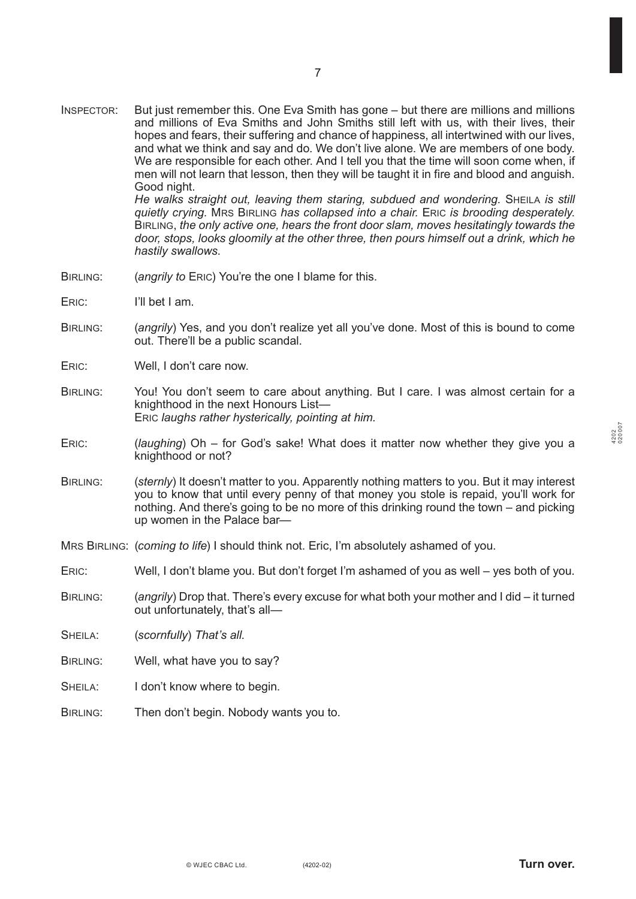INSPECTOR: But just remember this. One Eva Smith has gone – but there are millions and millions and millions of Eva Smiths and John Smiths still left with us, with their lives, their hopes and fears, their suffering and chance of happiness, all intertwined with our lives, and what we think and say and do. We don't live alone. We are members of one body. We are responsible for each other. And I tell you that the time will soon come when, if men will not learn that lesson, then they will be taught it in fire and blood and anguish. Good night. He walks straight out, leaving them staring, subdued and wondering. SHEILA is still

*quietly crying.* MRS BIRLING *has collapsed into a chair.* ERIC *is brooding desperately*. BIRLING, *the only active one, hears the front door slam, moves hesitatingly towards the door, stops, looks gloomily at the other three, then pours himself out a drink, which he hastily swallows*.

- BIRLING: (*angrily to* ERIC) You're the one I blame for this.
- ERIC: I'll bet I am.
- BIRLING: (*angrily*) Yes, and you don't realize yet all you've done. Most of this is bound to come out. There'll be a public scandal.
- ERIC: Well, I don't care now.
- BIRLING: You! You don't seem to care about anything. But I care. I was almost certain for a knighthood in the next Honours List— ERIC *laughs rather hysterically, pointing at him.*
- ERIC: (*laughing*) Oh for God's sake! What does it matter now whether they give you a knighthood or not?
- BIRLING: (*sternly*) It doesn't matter to you. Apparently nothing matters to you. But it may interest you to know that until every penny of that money you stole is repaid, you'll work for nothing. And there's going to be no more of this drinking round the town – and picking up women in the Palace bar—
- MRS BIRLING: (*coming to life*) I should think not. Eric, I'm absolutely ashamed of you.
- ERIC: Well, I don't blame you. But don't forget I'm ashamed of you as well yes both of you.
- BIRLING: (*angrily*) Drop that. There's every excuse for what both your mother and I did it turned out unfortunately, that's all—
- SHEILA: (*scornfully*) *That's all*.
- BIRLING: Well, what have you to say?
- SHEILA: I don't know where to begin.
- BIRLING: Then don't begin. Nobody wants you to.

4202 020007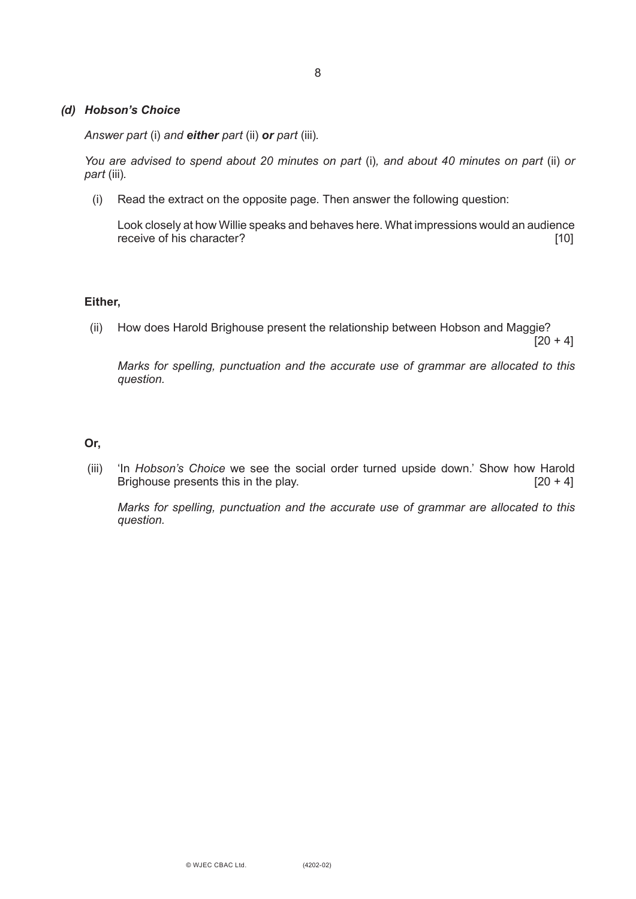#### *(d) Hobson's Choice*

*Answer part* (i) *and either part* (ii) *or part* (iii)*.*

*You are advised to spend about 20 minutes on part* (i)*, and about 40 minutes on part* (ii) *or part* (iii)*.*

(i) Read the extract on the opposite page. Then answer the following question:

 Look closely at how Willie speaks and behaves here. What impressions would an audience receive of his character?

#### **Either,**

(ii) How does Harold Brighouse present the relationship between Hobson and Maggie?

 $[20 + 4]$ 

 *Marks for spelling, punctuation and the accurate use of grammar are allocated to this question.*

# **Or,**

(iii) 'In *Hobson's Choice* we see the social order turned upside down.' Show how Harold Brighouse presents this in the play.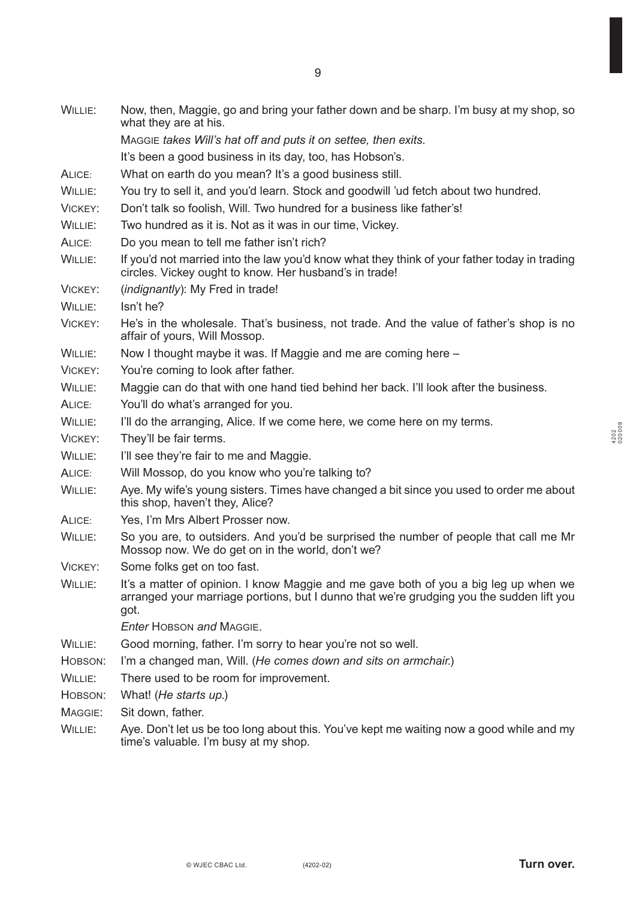- WILLIE: Now, then, Maggie, go and bring your father down and be sharp. I'm busy at my shop, so what they are at his. MAGGIE *takes Will's hat off and puts it on settee, then exits.* It's been a good business in its day, too, has Hobson's. ALICE: What on earth do you mean? It's a good business still. WILLIE: You try to sell it, and you'd learn. Stock and goodwill 'ud fetch about two hundred. VICKEY: Don't talk so foolish, Will. Two hundred for a business like father's! WILLIE: Two hundred as it is. Not as it was in our time, Vickey. ALICE: Do you mean to tell me father isn't rich? WILLIE: If you'd not married into the law you'd know what they think of your father today in trading circles. Vickey ought to know. Her husband's in trade! VICKEY: (*indignantly*): My Fred in trade! WILLIF: Isn't he? VICKEY: He's in the wholesale. That's business, not trade. And the value of father's shop is no affair of yours, Will Mossop. WILLIE: Now I thought maybe it was. If Maggie and me are coming here – VICKEY: You're coming to look after father. WILLIE: Maggie can do that with one hand tied behind her back. I'll look after the business. ALICE: You'll do what's arranged for you. WILLIE: I'll do the arranging, Alice. If we come here, we come here on my terms. VICKEY: They'll be fair terms. WILLIE: I'll see they're fair to me and Maggie. ALICE: Will Mossop, do you know who you're talking to? WILLIE: Aye. My wife's young sisters. Times have changed a bit since you used to order me about this shop, haven't they, Alice? ALICE: Yes, I'm Mrs Albert Prosser now. WILLIE: So you are, to outsiders. And you'd be surprised the number of people that call me Mr Mossop now. We do get on in the world, don't we? VICKEY: Some folks get on too fast. WILLIE: It's a matter of opinion. I know Maggie and me gave both of you a big leg up when we arranged your marriage portions, but I dunno that we're grudging you the sudden lift you got. *Enter* HOBSON *and* MAGGIE. WILLIE: Good morning, father. I'm sorry to hear you're not so well. HOBSON: I'm a changed man, Will. (*He comes down and sits on armchair.*) WILLIE: There used to be room for improvement. HOBSON: What! (*He starts up.*) MAGGIE: Sit down, father.
- WILLIE: Aye. Don't let us be too long about this. You've kept me waiting now a good while and my time's valuable. I'm busy at my shop.

4202<br>020009 020009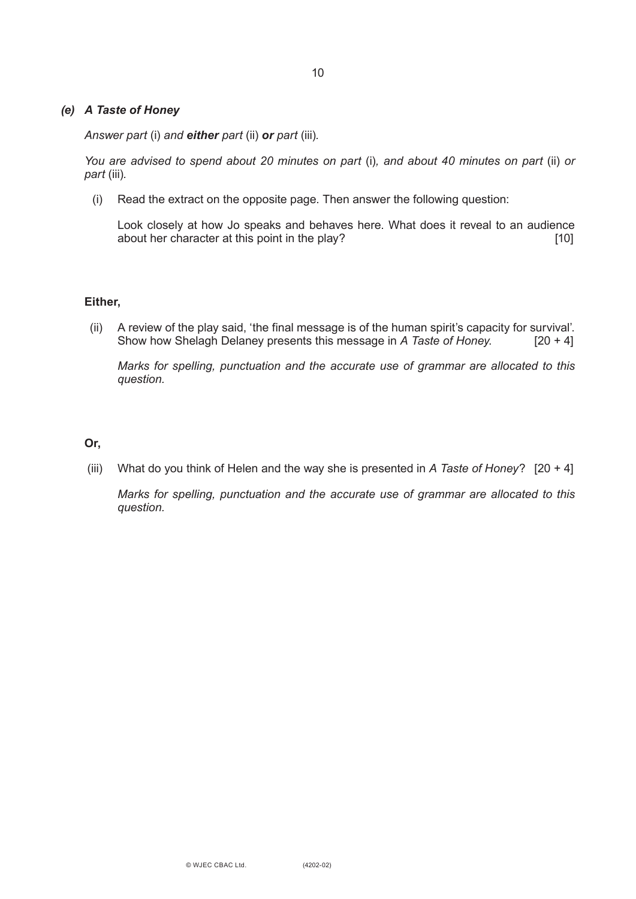#### *(e) A Taste of Honey*

*Answer part* (i) *and either part* (ii) *or part* (iii)*.*

*You are advised to spend about 20 minutes on part* (i)*, and about 40 minutes on part* (ii) *or part* (iii)*.*

(i) Read the extract on the opposite page. Then answer the following question:

Look closely at how Jo speaks and behaves here. What does it reveal to an audience about her character at this point in the play? about her character at this point in the play?

#### **Either,**

(ii) A review of the play said, 'the final message is of the human spirit's capacity for survival'. Show how Shelagh Delaney presents this message in *A Taste of Honey*. [20 + 4]

 *Marks for spelling, punctuation and the accurate use of grammar are allocated to this question.*

#### **Or,**

(iii) What do you think of Helen and the way she is presented in *A Taste of Honey*? [20 + 4]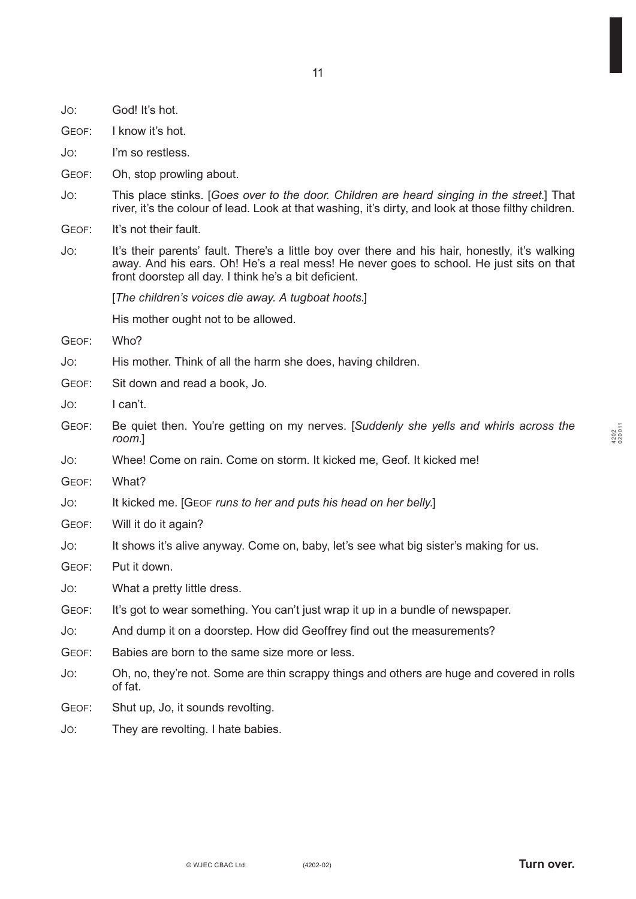- JO: God! It's hot.
- GEOF: I know it's hot.
- JO: I'm so restless.
- GEOF: Oh, stop prowling about.
- JO: This place stinks. [*Goes over to the door. Children are heard singing in the street.*] That river, it's the colour of lead. Look at that washing, it's dirty, and look at those filthy children.
- GEOF: It's not their fault.
- JO: It's their parents' fault. There's a little boy over there and his hair, honestly, it's walking away. And his ears. Oh! He's a real mess! He never goes to school. He just sits on that front doorstep all day. I think he's a bit deficient.

[*The children's voices die away. A tugboat hoots*.]

His mother ought not to be allowed.

- GEOF: Who?
- JO: His mother. Think of all the harm she does, having children.
- GEOF: Sit down and read a book, Jo.
- JO: I can't.
- GEOF: Be quiet then. You're getting on my nerves. [*Suddenly she yells and whirls across the room*.]
- JO: Whee! Come on rain. Come on storm. It kicked me, Geof. It kicked me!
- GEOF: What?
- JO: It kicked me. [GEOF *runs to her and puts his head on her belly*.]
- GEOF: Will it do it again?
- JO: It shows it's alive anyway. Come on, baby, let's see what big sister's making for us.
- GEOF: Put it down.
- JO: What a pretty little dress.
- GEOF: It's got to wear something. You can't just wrap it up in a bundle of newspaper.
- JO: And dump it on a doorstep. How did Geoffrey find out the measurements?
- GEOF: Babies are born to the same size more or less.
- JO: Oh, no, they're not. Some are thin scrappy things and others are huge and covered in rolls of fat.
- GEOF: Shut up, Jo, it sounds revolting.
- JO: They are revolting. I hate babies.

4202<br>020011 020011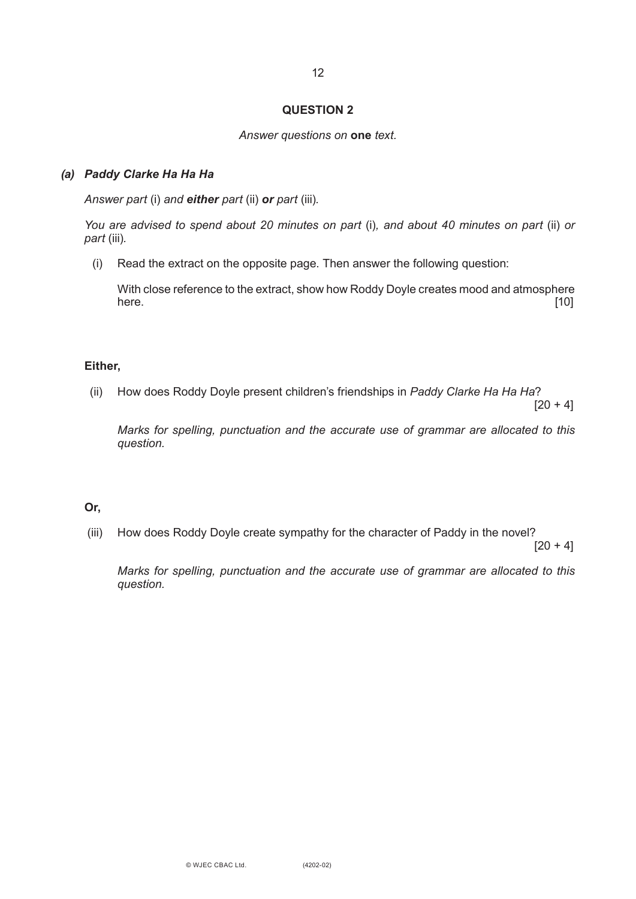#### **QUESTION 2**

*Answer questions on* **one** *text.*

#### *(a) Paddy Clarke Ha Ha Ha*

*Answer part* (i) *and either part* (ii) *or part* (iii)*.*

*You are advised to spend about 20 minutes on part* (i)*, and about 40 minutes on part* (ii) *or part* (iii)*.*

(i) Read the extract on the opposite page. Then answer the following question:

 With close reference to the extract, show how Roddy Doyle creates mood and atmosphere here. [10]

#### **Either,**

(ii) How does Roddy Doyle present children's friendships in *Paddy Clarke Ha Ha Ha*?

 $[20 + 4]$ 

 *Marks for spelling, punctuation and the accurate use of grammar are allocated to this question.*

# **Or,**

(iii) How does Roddy Doyle create sympathy for the character of Paddy in the novel?

 $[20 + 4]$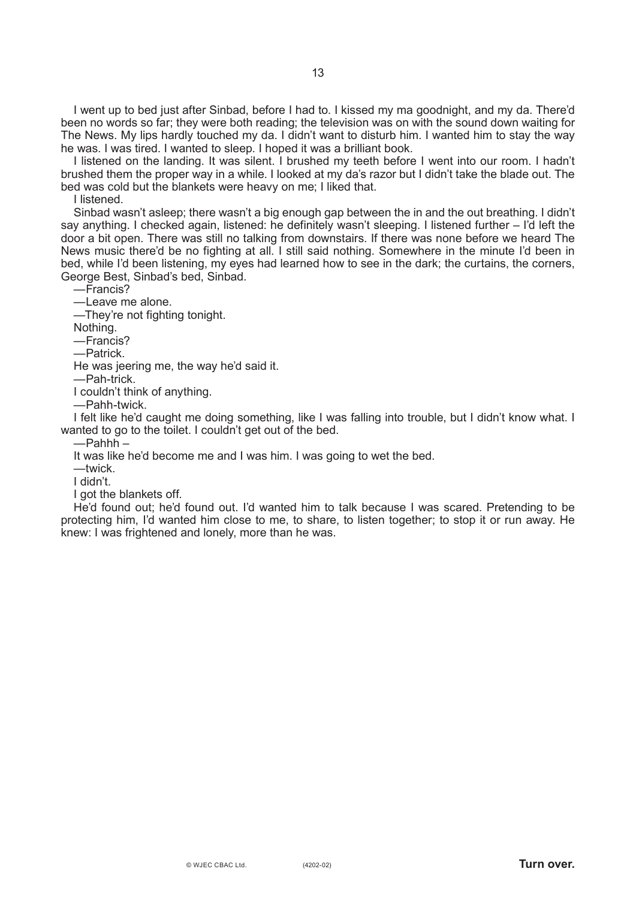I listened on the landing. It was silent. I brushed my teeth before I went into our room. I hadn't brushed them the proper way in a while. I looked at my da's razor but I didn't take the blade out. The bed was cold but the blankets were heavy on me; I liked that.

I listened.

Sinbad wasn't asleep; there wasn't a big enough gap between the in and the out breathing. I didn't say anything. I checked again, listened: he definitely wasn't sleeping. I listened further – I'd left the door a bit open. There was still no talking from downstairs. If there was none before we heard The News music there'd be no fighting at all. I still said nothing. Somewhere in the minute I'd been in bed, while I'd been listening, my eyes had learned how to see in the dark; the curtains, the corners, George Best, Sinbad's bed, Sinbad.

—Francis?

—Leave me alone.

—They're not fighting tonight.

Nothing.

—Francis?

—Patrick.

He was jeering me, the way he'd said it.

—Pah-trick.

I couldn't think of anything.

—Pahh-twick. I felt like he'd caught me doing something, like I was falling into trouble, but I didn't know what. I wanted to go to the toilet. I couldn't get out of the bed.

—Pahhh –

It was like he'd become me and I was him. I was going to wet the bed.

—twick.

I didn't.

I got the blankets off.

He'd found out; he'd found out. I'd wanted him to talk because I was scared. Pretending to be protecting him, I'd wanted him close to me, to share, to listen together; to stop it or run away. He knew: I was frightened and lonely, more than he was.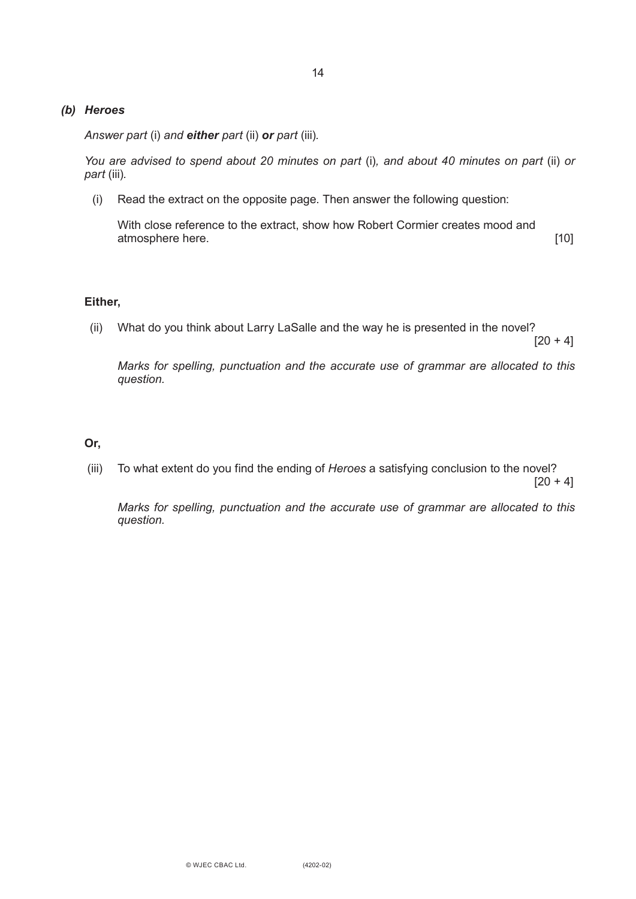#### *(b) Heroes*

*Answer part* (i) *and either part* (ii) *or part* (iii)*.*

*You are advised to spend about 20 minutes on part* (i)*, and about 40 minutes on part* (ii) *or part* (iii)*.*

(i) Read the extract on the opposite page. Then answer the following question:

 With close reference to the extract, show how Robert Cormier creates mood and atmosphere here. [10]

#### **Either,**

(ii) What do you think about Larry LaSalle and the way he is presented in the novel?

 $[20 + 4]$ 

 *Marks for spelling, punctuation and the accurate use of grammar are allocated to this question.*

# **Or,**

(iii) To what extent do you find the ending of *Heroes* a satisfying conclusion to the novel?  $[20 + 4]$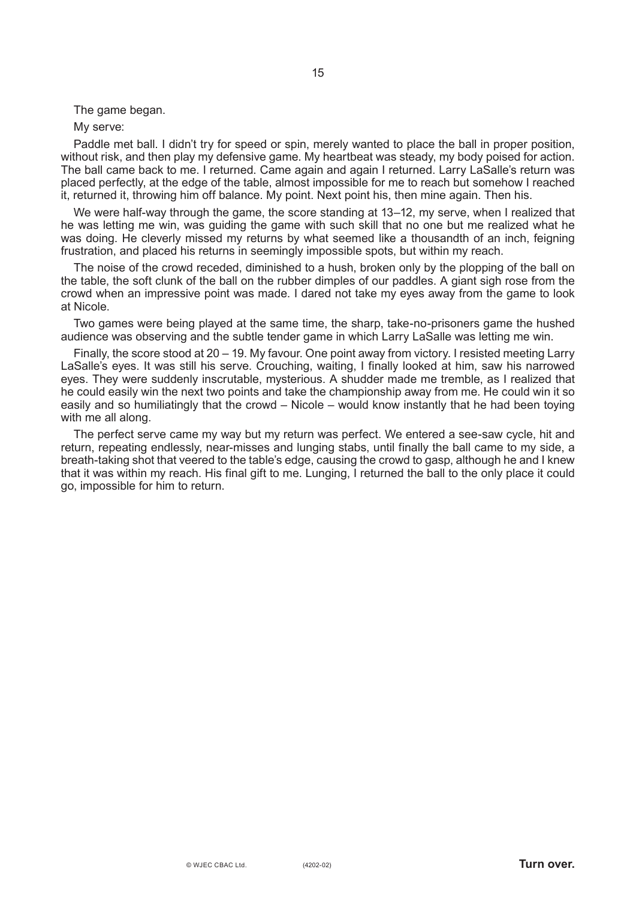The game began.

My serve:

Paddle met ball. I didn't try for speed or spin, merely wanted to place the ball in proper position, without risk, and then play my defensive game. My heartbeat was steady, my body poised for action. The ball came back to me. I returned. Came again and again I returned. Larry LaSalle's return was placed perfectly, at the edge of the table, almost impossible for me to reach but somehow I reached it, returned it, throwing him off balance. My point. Next point his, then mine again. Then his.

We were half-way through the game, the score standing at 13–12, my serve, when I realized that he was letting me win, was guiding the game with such skill that no one but me realized what he was doing. He cleverly missed my returns by what seemed like a thousandth of an inch, feigning frustration, and placed his returns in seemingly impossible spots, but within my reach.

The noise of the crowd receded, diminished to a hush, broken only by the plopping of the ball on the table, the soft clunk of the ball on the rubber dimples of our paddles. A giant sigh rose from the crowd when an impressive point was made. I dared not take my eyes away from the game to look at Nicole.

Two games were being played at the same time, the sharp, take-no-prisoners game the hushed audience was observing and the subtle tender game in which Larry LaSalle was letting me win.

Finally, the score stood at 20 – 19. My favour. One point away from victory. I resisted meeting Larry LaSalle's eyes. It was still his serve. Crouching, waiting, I finally looked at him, saw his narrowed eyes. They were suddenly inscrutable, mysterious. A shudder made me tremble, as I realized that he could easily win the next two points and take the championship away from me. He could win it so easily and so humiliatingly that the crowd – Nicole – would know instantly that he had been toying with me all along.

The perfect serve came my way but my return was perfect. We entered a see-saw cycle, hit and return, repeating endlessly, near-misses and lunging stabs, until finally the ball came to my side, a breath-taking shot that veered to the table's edge, causing the crowd to gasp, although he and I knew that it was within my reach. His final gift to me. Lunging, I returned the ball to the only place it could go, impossible for him to return.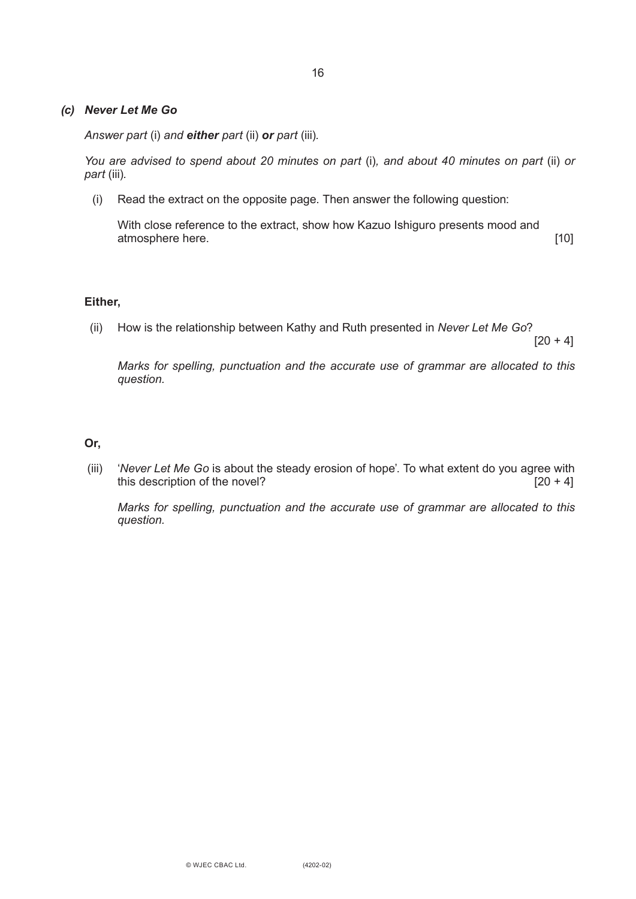#### *(c) Never Let Me Go*

*Answer part* (i) *and either part* (ii) *or part* (iii)*.*

*You are advised to spend about 20 minutes on part* (i)*, and about 40 minutes on part* (ii) *or part* (iii)*.*

(i) Read the extract on the opposite page. Then answer the following question:

 With close reference to the extract, show how Kazuo Ishiguro presents mood and atmosphere here. [10]

#### **Either,**

(ii) How is the relationship between Kathy and Ruth presented in *Never Let Me Go*?

 $[20 + 4]$ 

 *Marks for spelling, punctuation and the accurate use of grammar are allocated to this question.*

#### **Or,**

(iii) '*Never Let Me Go* is about the steady erosion of hope'. To what extent do you agree with this description of the novel?  $[20 + 4]$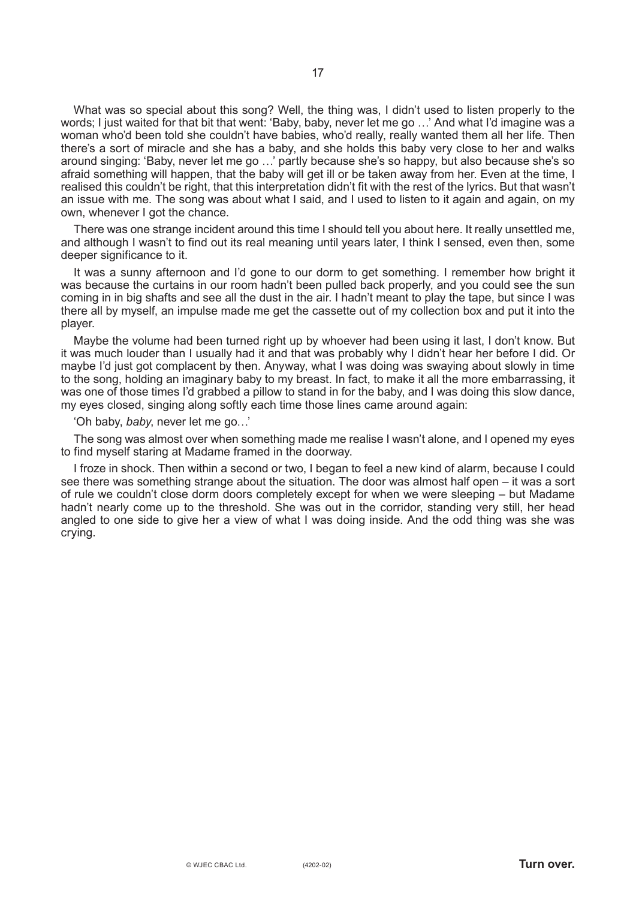What was so special about this song? Well, the thing was, I didn't used to listen properly to the words; I just waited for that bit that went: 'Baby, baby, never let me go ...' And what I'd imagine was a woman who'd been told she couldn't have babies, who'd really, really wanted them all her life. Then there's a sort of miracle and she has a baby, and she holds this baby very close to her and walks around singing: 'Baby, never let me go …' partly because she's so happy, but also because she's so afraid something will happen, that the baby will get ill or be taken away from her. Even at the time, I realised this couldn't be right, that this interpretation didn't fit with the rest of the lyrics. But that wasn't an issue with me. The song was about what I said, and I used to listen to it again and again, on my own, whenever I got the chance.

There was one strange incident around this time I should tell you about here. It really unsettled me, and although I wasn't to find out its real meaning until years later, I think I sensed, even then, some deeper significance to it.

It was a sunny afternoon and I'd gone to our dorm to get something. I remember how bright it was because the curtains in our room hadn't been pulled back properly, and you could see the sun coming in in big shafts and see all the dust in the air. I hadn't meant to play the tape, but since I was there all by myself, an impulse made me get the cassette out of my collection box and put it into the player.

Maybe the volume had been turned right up by whoever had been using it last, I don't know. But it was much louder than I usually had it and that was probably why I didn't hear her before I did. Or maybe I'd just got complacent by then. Anyway, what I was doing was swaying about slowly in time to the song, holding an imaginary baby to my breast. In fact, to make it all the more embarrassing, it was one of those times I'd grabbed a pillow to stand in for the baby, and I was doing this slow dance, my eyes closed, singing along softly each time those lines came around again:

'Oh baby, *baby*, never let me go…'

The song was almost over when something made me realise I wasn't alone, and I opened my eyes to find myself staring at Madame framed in the doorway.

I froze in shock. Then within a second or two, I began to feel a new kind of alarm, because I could see there was something strange about the situation. The door was almost half open – it was a sort of rule we couldn't close dorm doors completely except for when we were sleeping – but Madame hadn't nearly come up to the threshold. She was out in the corridor, standing very still, her head angled to one side to give her a view of what I was doing inside. And the odd thing was she was crying.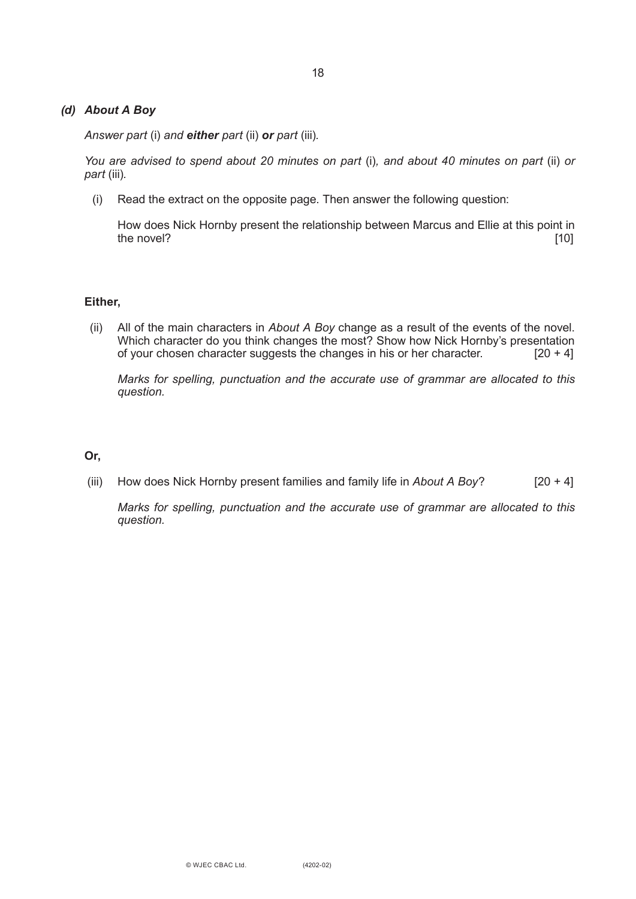#### *(d) About A Boy*

*Answer part* (i) *and either part* (ii) *or part* (iii)*.*

*You are advised to spend about 20 minutes on part* (i)*, and about 40 minutes on part* (ii) *or part* (iii)*.*

(i) Read the extract on the opposite page. Then answer the following question:

How does Nick Hornby present the relationship between Marcus and Ellie at this point in the novel? the novel? [10]

#### **Either,**

(ii) All of the main characters in *About A Boy* change as a result of the events of the novel. Which character do you think changes the most? Show how Nick Hornby's presentation of your chosen character suggests the changes in his or her character.  $[20 + 4]$ 

 *Marks for spelling, punctuation and the accurate use of grammar are allocated to this question.*

# **Or,**

(iii) How does Nick Hornby present families and family life in *About A Boy*? [20 + 4]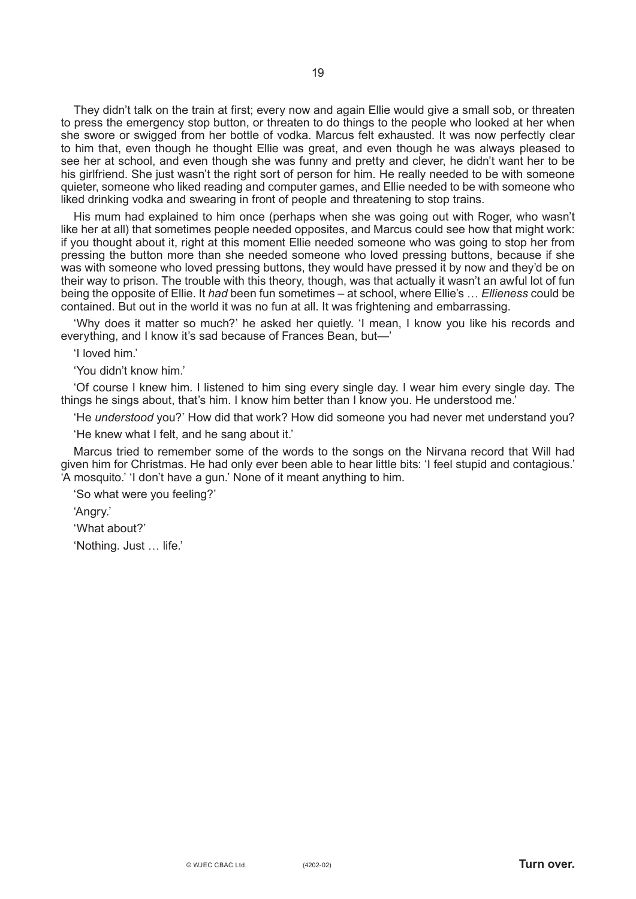They didn't talk on the train at first; every now and again Ellie would give a small sob, or threaten to press the emergency stop button, or threaten to do things to the people who looked at her when she swore or swigged from her bottle of vodka. Marcus felt exhausted. It was now perfectly clear to him that, even though he thought Ellie was great, and even though he was always pleased to see her at school, and even though she was funny and pretty and clever, he didn't want her to be his girlfriend. She just wasn't the right sort of person for him. He really needed to be with someone quieter, someone who liked reading and computer games, and Ellie needed to be with someone who liked drinking vodka and swearing in front of people and threatening to stop trains.

His mum had explained to him once (perhaps when she was going out with Roger, who wasn't like her at all) that sometimes people needed opposites, and Marcus could see how that might work: if you thought about it, right at this moment Ellie needed someone who was going to stop her from pressing the button more than she needed someone who loved pressing buttons, because if she was with someone who loved pressing buttons, they would have pressed it by now and they'd be on their way to prison. The trouble with this theory, though, was that actually it wasn't an awful lot of fun being the opposite of Ellie. It *had* been fun sometimes – at school, where Ellie's … *Ellieness* could be contained. But out in the world it was no fun at all. It was frightening and embarrassing.

'Why does it matter so much?' he asked her quietly. 'I mean, I know you like his records and everything, and I know it's sad because of Frances Bean, but—'

'I loved him.'

'You didn't know him.'

'Of course I knew him. I listened to him sing every single day. I wear him every single day. The things he sings about, that's him. I know him better than I know you. He understood me.'

'He *understood* you?' How did that work? How did someone you had never met understand you?

'He knew what I felt, and he sang about it.'

Marcus tried to remember some of the words to the songs on the Nirvana record that Will had given him for Christmas. He had only ever been able to hear little bits: 'I feel stupid and contagious.' 'A mosquito.' 'I don't have a gun.' None of it meant anything to him.

'So what were you feeling?'

'Angry.'

'What about?'

'Nothing. Just … life.'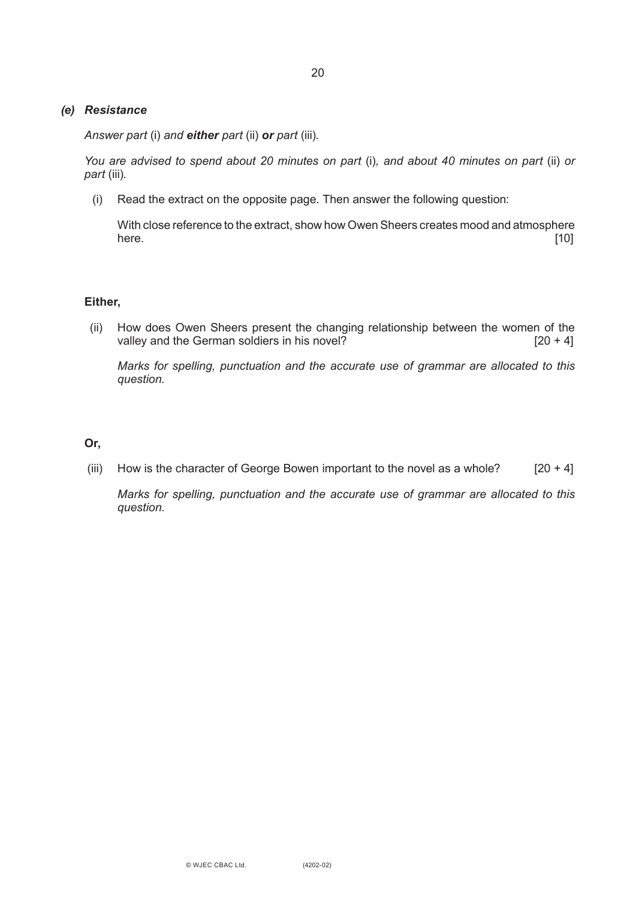#### *(e) Resistance*

*Answer part* (i) *and either part* (ii) *or part* (iii)*.*

*You are advised to spend about 20 minutes on part* (i)*, and about 40 minutes on part* (ii) *or part* (iii)*.*

(i) Read the extract on the opposite page. Then answer the following question:

With close reference to the extract, show how Owen Sheers creates mood and atmosphere<br>
[10] here. [10]

# **Either,**

(ii) How does Owen Sheers present the changing relationship between the women of the valley and the German soldiers in his novel?

 *Marks for spelling, punctuation and the accurate use of grammar are allocated to this question.*

# **Or,**

(iii) How is the character of George Bowen important to the novel as a whole?  $[20 + 4]$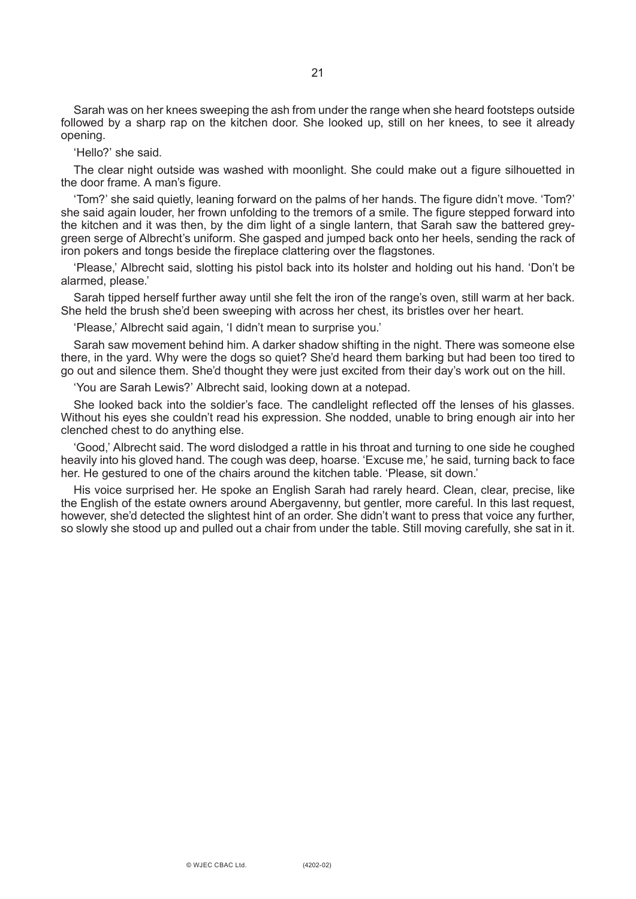21

Sarah was on her knees sweeping the ash from under the range when she heard footsteps outside followed by a sharp rap on the kitchen door. She looked up, still on her knees, to see it already opening.

'Hello?' she said.

The clear night outside was washed with moonlight. She could make out a figure silhouetted in the door frame. A man's figure.

'Tom?' she said quietly, leaning forward on the palms of her hands. The figure didn't move. 'Tom?' she said again louder, her frown unfolding to the tremors of a smile. The figure stepped forward into the kitchen and it was then, by the dim light of a single lantern, that Sarah saw the battered greygreen serge of Albrecht's uniform. She gasped and jumped back onto her heels, sending the rack of iron pokers and tongs beside the fireplace clattering over the flagstones.

'Please,' Albrecht said, slotting his pistol back into its holster and holding out his hand. 'Don't be alarmed, please.'

Sarah tipped herself further away until she felt the iron of the range's oven, still warm at her back. She held the brush she'd been sweeping with across her chest, its bristles over her heart.

'Please,' Albrecht said again, 'I didn't mean to surprise you.'

Sarah saw movement behind him. A darker shadow shifting in the night. There was someone else there, in the yard. Why were the dogs so quiet? She'd heard them barking but had been too tired to go out and silence them. She'd thought they were just excited from their day's work out on the hill.

'You are Sarah Lewis?' Albrecht said, looking down at a notepad.

She looked back into the soldier's face. The candlelight reflected off the lenses of his glasses. Without his eyes she couldn't read his expression. She nodded, unable to bring enough air into her clenched chest to do anything else.

'Good,' Albrecht said. The word dislodged a rattle in his throat and turning to one side he coughed heavily into his gloved hand. The cough was deep, hoarse. 'Excuse me,' he said, turning back to face her. He gestured to one of the chairs around the kitchen table. 'Please, sit down.'

His voice surprised her. He spoke an English Sarah had rarely heard. Clean, clear, precise, like the English of the estate owners around Abergavenny, but gentler, more careful. In this last request, however, she'd detected the slightest hint of an order. She didn't want to press that voice any further, so slowly she stood up and pulled out a chair from under the table. Still moving carefully, she sat in it.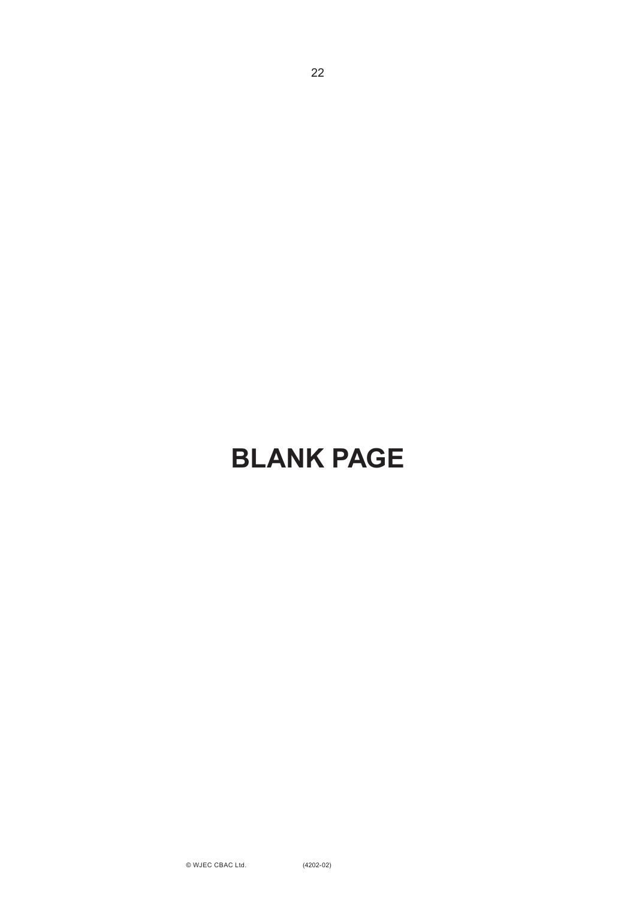# **BLANK PAGE**

22